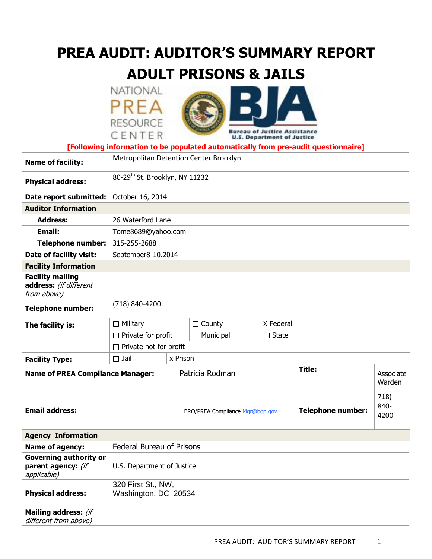# **PREA AUDIT: AUDITOR'S SUMMARY REPORT ADULT PRISONS & JAILS**

**NATIONAL** PREA **RESOURCE** 



|                                                                    | CENTER                                                      |          |                                  | <b>Bureau of Justice Assistance</b><br><b>U.S. Department of Justice</b> |                                                                                    |                     |  |
|--------------------------------------------------------------------|-------------------------------------------------------------|----------|----------------------------------|--------------------------------------------------------------------------|------------------------------------------------------------------------------------|---------------------|--|
|                                                                    |                                                             |          |                                  |                                                                          | [Following information to be populated automatically from pre-audit questionnaire] |                     |  |
| <b>Name of facility:</b>                                           | Metropolitan Detention Center Brooklyn                      |          |                                  |                                                                          |                                                                                    |                     |  |
| <b>Physical address:</b>                                           | 80-29 <sup>th</sup> St. Brooklyn, NY 11232                  |          |                                  |                                                                          |                                                                                    |                     |  |
| Date report submitted:                                             | October 16, 2014                                            |          |                                  |                                                                          |                                                                                    |                     |  |
| <b>Auditor Information</b>                                         |                                                             |          |                                  |                                                                          |                                                                                    |                     |  |
| <b>Address:</b>                                                    | 26 Waterford Lane                                           |          |                                  |                                                                          |                                                                                    |                     |  |
| <b>Email:</b>                                                      | Tome8689@yahoo.com                                          |          |                                  |                                                                          |                                                                                    |                     |  |
| <b>Telephone number:</b>                                           | 315-255-2688                                                |          |                                  |                                                                          |                                                                                    |                     |  |
| Date of facility visit:                                            | September8-10.2014                                          |          |                                  |                                                                          |                                                                                    |                     |  |
| <b>Facility Information</b>                                        |                                                             |          |                                  |                                                                          |                                                                                    |                     |  |
| <b>Facility mailing</b><br>address: (if different<br>from above)   |                                                             |          |                                  |                                                                          |                                                                                    |                     |  |
| <b>Telephone number:</b>                                           | (718) 840-4200                                              |          |                                  |                                                                          |                                                                                    |                     |  |
| The facility is:                                                   | $\Box$ Military                                             |          | X Federal<br>County<br>□         |                                                                          |                                                                                    |                     |  |
|                                                                    | $\Box$ Private for profit                                   |          | $\Box$ Municipal<br>$\Box$ State |                                                                          |                                                                                    |                     |  |
|                                                                    | $\Box$ Private not for profit                               |          |                                  |                                                                          |                                                                                    |                     |  |
| <b>Facility Type:</b>                                              | $\Box$ Jail                                                 | x Prison |                                  |                                                                          |                                                                                    |                     |  |
| <b>Name of PREA Compliance Manager:</b>                            |                                                             |          | Patricia Rodman                  |                                                                          | <b>Title:</b>                                                                      | Associate<br>Warden |  |
| <b>Email address:</b>                                              | <b>Telephone number:</b><br>BRO/PREA Compliance Mar@bop.gov |          |                                  |                                                                          | 718)<br>840-<br>4200                                                               |                     |  |
| <b>Agency Information</b>                                          |                                                             |          |                                  |                                                                          |                                                                                    |                     |  |
| Name of agency:                                                    | Federal Bureau of Prisons                                   |          |                                  |                                                                          |                                                                                    |                     |  |
| <b>Governing authority or</b><br>parent agency: (if<br>applicable) | U.S. Department of Justice                                  |          |                                  |                                                                          |                                                                                    |                     |  |
| <b>Physical address:</b>                                           | 320 First St., NW,<br>Washington, DC 20534                  |          |                                  |                                                                          |                                                                                    |                     |  |

**Mailing address:** (if different from above)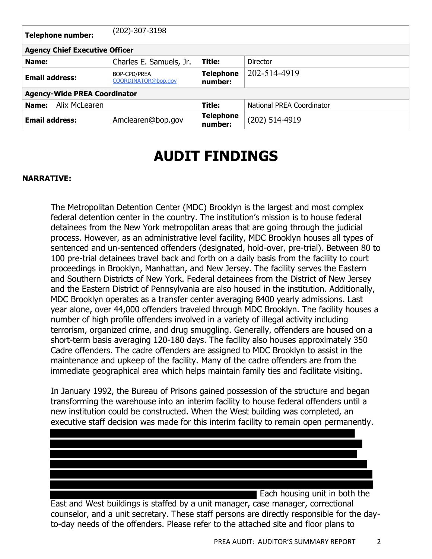| <b>Telephone number:</b>              | (202)-307-3198                             |                             |                           |  |  |  |  |
|---------------------------------------|--------------------------------------------|-----------------------------|---------------------------|--|--|--|--|
| <b>Agency Chief Executive Officer</b> |                                            |                             |                           |  |  |  |  |
| Name:                                 | Charles E. Samuels, Jr.                    | Title:                      | Director                  |  |  |  |  |
| <b>Email address:</b>                 | <b>BOP-CPD/PREA</b><br>COORDINATOR@bop.gov | <b>Telephone</b><br>number: | 202-514-4919              |  |  |  |  |
| <b>Agency-Wide PREA Coordinator</b>   |                                            |                             |                           |  |  |  |  |
| Alix McLearen<br>Name:                |                                            | Title:                      | National PREA Coordinator |  |  |  |  |
| <b>Email address:</b>                 | Amclearen@bop.gov                          | <b>Telephone</b><br>number: | (202) 514-4919            |  |  |  |  |

# **AUDIT FINDINGS**

#### **NARRATIVE:**

The Metropolitan Detention Center (MDC) Brooklyn is the largest and most complex federal detention center in the country. The institution's mission is to house federal detainees from the New York metropolitan areas that are going through the judicial process. However, as an administrative level facility, MDC Brooklyn houses all types of sentenced and un-sentenced offenders (designated, hold-over, pre-trial). Between 80 to 100 pre-trial detainees travel back and forth on a daily basis from the facility to court proceedings in Brooklyn, Manhattan, and New Jersey. The facility serves the Eastern and Southern Districts of New York. Federal detainees from the District of New Jersey and the Eastern District of Pennsylvania are also housed in the institution. Additionally, MDC Brooklyn operates as a transfer center averaging 8400 yearly admissions. Last year alone, over 44,000 offenders traveled through MDC Brooklyn. The facility houses a number of high profile offenders involved in a variety of illegal activity including terrorism, organized crime, and drug smuggling. Generally, offenders are housed on a short-term basis averaging 120-180 days. The facility also houses approximately 350 Cadre offenders. The cadre offenders are assigned to MDC Brooklyn to assist in the maintenance and upkeep of the facility. Many of the cadre offenders are from the immediate geographical area which helps maintain family ties and facilitate visiting.

In January 1992, the Bureau of Prisons gained possession of the structure and began transforming the warehouse into an interim facility to house federal offenders until a new institution could be constructed. When the West building was completed, an executive staff decision was made for this interim facility to remain open permanently.

 Each housing unit in both the East and West buildings is staffed by a unit manager, case manager, correctional counselor, and a unit secretary. These staff persons are directly responsible for the dayto-day needs of the offenders. Please refer to the attached site and floor plans to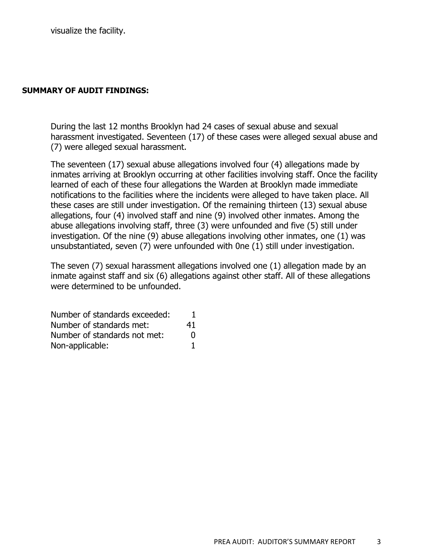#### **SUMMARY OF AUDIT FINDINGS:**

During the last 12 months Brooklyn had 24 cases of sexual abuse and sexual harassment investigated. Seventeen (17) of these cases were alleged sexual abuse and (7) were alleged sexual harassment.

The seventeen (17) sexual abuse allegations involved four (4) allegations made by inmates arriving at Brooklyn occurring at other facilities involving staff. Once the facility learned of each of these four allegations the Warden at Brooklyn made immediate notifications to the facilities where the incidents were alleged to have taken place. All these cases are still under investigation. Of the remaining thirteen (13) sexual abuse allegations, four (4) involved staff and nine (9) involved other inmates. Among the abuse allegations involving staff, three (3) were unfounded and five (5) still under investigation. Of the nine (9) abuse allegations involving other inmates, one (1) was unsubstantiated, seven (7) were unfounded with 0ne (1) still under investigation.

The seven (7) sexual harassment allegations involved one (1) allegation made by an inmate against staff and six (6) allegations against other staff. All of these allegations were determined to be unfounded.

| Number of standards exceeded: |              |
|-------------------------------|--------------|
| Number of standards met:      | 41           |
| Number of standards not met:  | $\mathbf{U}$ |
| Non-applicable:               |              |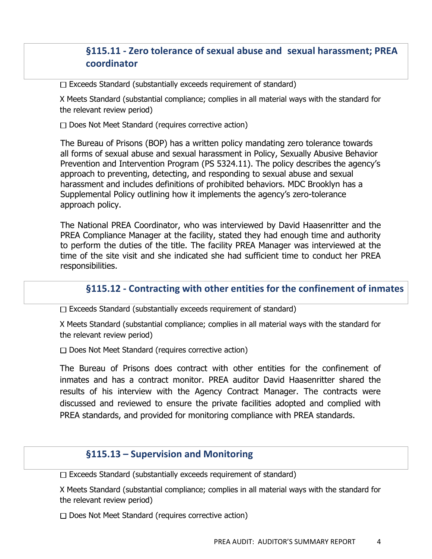# **§115.11 - Zero tolerance of sexual abuse and sexual harassment; PREA coordinator**

 $\Box$  Exceeds Standard (substantially exceeds requirement of standard)

X Meets Standard (substantial compliance; complies in all material ways with the standard for the relevant review period)

 $\Box$  Does Not Meet Standard (requires corrective action)

The Bureau of Prisons (BOP) has a written policy mandating zero tolerance towards all forms of sexual abuse and sexual harassment in Policy, Sexually Abusive Behavior Prevention and Intervention Program (PS 5324.11). The policy describes the agency's approach to preventing, detecting, and responding to sexual abuse and sexual harassment and includes definitions of prohibited behaviors. MDC Brooklyn has a Supplemental Policy outlining how it implements the agency's zero-tolerance approach policy.

The National PREA Coordinator, who was interviewed by David Haasenritter and the PREA Compliance Manager at the facility, stated they had enough time and authority to perform the duties of the title. The facility PREA Manager was interviewed at the time of the site visit and she indicated she had sufficient time to conduct her PREA responsibilities.

### **§115.12 - Contracting with other entities for the confinement of inmates**

 $\Box$  Exceeds Standard (substantially exceeds requirement of standard)

X Meets Standard (substantial compliance; complies in all material ways with the standard for the relevant review period)

 $\Box$  Does Not Meet Standard (requires corrective action)

The Bureau of Prisons does contract with other entities for the confinement of inmates and has a contract monitor. PREA auditor David Haasenritter shared the results of his interview with the Agency Contract Manager. The contracts were discussed and reviewed to ensure the private facilities adopted and complied with PREA standards, and provided for monitoring compliance with PREA standards.

#### **§115.13 – Supervision and Monitoring**

 $\Box$  Exceeds Standard (substantially exceeds requirement of standard)

X Meets Standard (substantial compliance; complies in all material ways with the standard for the relevant review period)

□ Does Not Meet Standard (requires corrective action)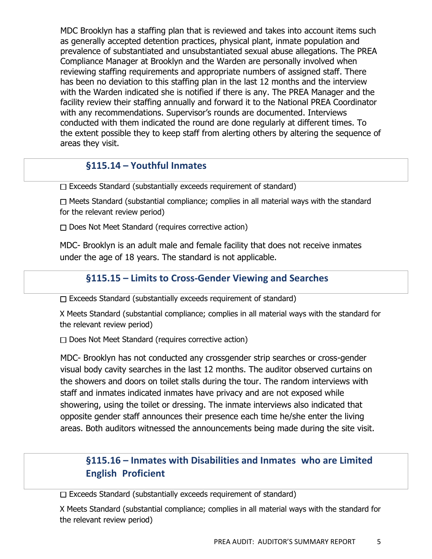MDC Brooklyn has a staffing plan that is reviewed and takes into account items such as generally accepted detention practices, physical plant, inmate population and prevalence of substantiated and unsubstantiated sexual abuse allegations. The PREA Compliance Manager at Brooklyn and the Warden are personally involved when reviewing staffing requirements and appropriate numbers of assigned staff. There has been no deviation to this staffing plan in the last 12 months and the interview with the Warden indicated she is notified if there is any. The PREA Manager and the facility review their staffing annually and forward it to the National PREA Coordinator with any recommendations. Supervisor's rounds are documented. Interviews conducted with them indicated the round are done regularly at different times. To the extent possible they to keep staff from alerting others by altering the sequence of areas they visit.

# **§115.14 – Youthful Inmates**

 $\Box$  Exceeds Standard (substantially exceeds requirement of standard)

 $\Box$  Meets Standard (substantial compliance; complies in all material ways with the standard for the relevant review period)

 $\Box$  Does Not Meet Standard (requires corrective action)

MDC- Brooklyn is an adult male and female facility that does not receive inmates under the age of 18 years. The standard is not applicable.

#### **§115.15 – Limits to Cross-Gender Viewing and Searches**

 $\Box$  Exceeds Standard (substantially exceeds requirement of standard)

X Meets Standard (substantial compliance; complies in all material ways with the standard for the relevant review period)

 $\Box$  Does Not Meet Standard (requires corrective action)

MDC- Brooklyn has not conducted any crossgender strip searches or cross-gender visual body cavity searches in the last 12 months. The auditor observed curtains on the showers and doors on toilet stalls during the tour. The random interviews with staff and inmates indicated inmates have privacy and are not exposed while showering, using the toilet or dressing. The inmate interviews also indicated that opposite gender staff announces their presence each time he/she enter the living areas. Both auditors witnessed the announcements being made during the site visit.

# **§115.16 – Inmates with Disabilities and Inmates who are Limited English Proficient**

 $\Box$  Exceeds Standard (substantially exceeds requirement of standard)

X Meets Standard (substantial compliance; complies in all material ways with the standard for the relevant review period)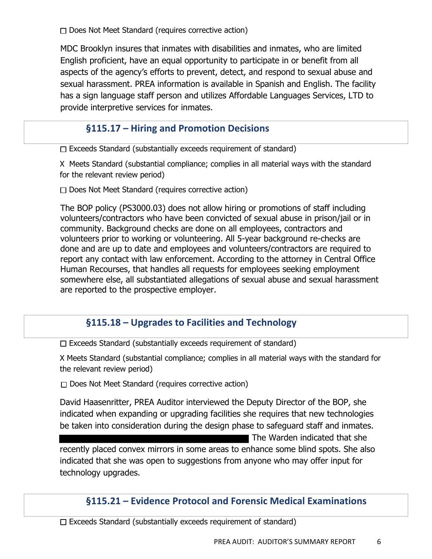$\Box$  Does Not Meet Standard (requires corrective action)

MDC Brooklyn insures that inmates with disabilities and inmates, who are limited English proficient, have an equal opportunity to participate in or benefit from all aspects of the agency's efforts to prevent, detect, and respond to sexual abuse and sexual harassment. PREA information is available in Spanish and English. The facility has a sign language staff person and utilizes Affordable Languages Services, LTD to provide interpretive services for inmates.

# **§115.17 – Hiring and Promotion Decisions**

 $\Box$  Exceeds Standard (substantially exceeds requirement of standard)

X Meets Standard (substantial compliance; complies in all material ways with the standard for the relevant review period)

 $\Box$  Does Not Meet Standard (requires corrective action)

The BOP policy (PS3000.03) does not allow hiring or promotions of staff including volunteers/contractors who have been convicted of sexual abuse in prison/jail or in community. Background checks are done on all employees, contractors and volunteers prior to working or volunteering. All 5-year background re-checks are done and are up to date and employees and volunteers/contractors are required to report any contact with law enforcement. According to the attorney in Central Office Human Recourses, that handles all requests for employees seeking employment somewhere else, all substantiated allegations of sexual abuse and sexual harassment are reported to the prospective employer.

# **§115.18 – Upgrades to Facilities and Technology**

 $\Box$  Exceeds Standard (substantially exceeds requirement of standard)

X Meets Standard (substantial compliance; complies in all material ways with the standard for the relevant review period)

 $\Box$  Does Not Meet Standard (requires corrective action)

David Haasenritter, PREA Auditor interviewed the Deputy Director of the BOP, she indicated when expanding or upgrading facilities she requires that new technologies be taken into consideration during the design phase to safeguard staff and inmates.

**The Warden indicated that she** recently placed convex mirrors in some areas to enhance some blind spots. She also indicated that she was open to suggestions from anyone who may offer input for technology upgrades.

### **§115.21 – Evidence Protocol and Forensic Medical Examinations**

 $\Box$  Exceeds Standard (substantially exceeds requirement of standard)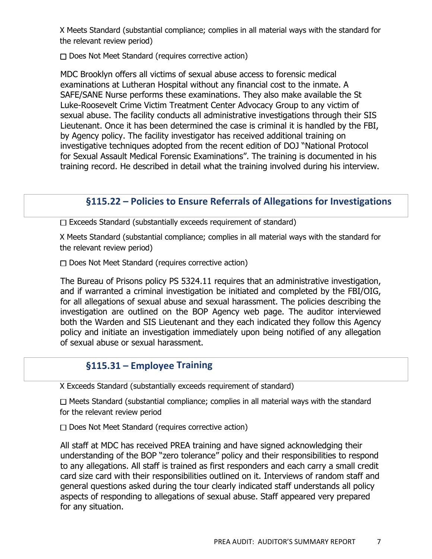X Meets Standard (substantial compliance; complies in all material ways with the standard for the relevant review period)

 $\Box$  Does Not Meet Standard (requires corrective action)

MDC Brooklyn offers all victims of sexual abuse access to forensic medical examinations at Lutheran Hospital without any financial cost to the inmate. A SAFE/SANE Nurse performs these examinations. They also make available the St Luke-Roosevelt Crime Victim Treatment Center Advocacy Group to any victim of sexual abuse. The facility conducts all administrative investigations through their SIS Lieutenant. Once it has been determined the case is criminal it is handled by the FBI, by Agency policy. The facility investigator has received additional training on investigative techniques adopted from the recent edition of DOJ "National Protocol for Sexual Assault Medical Forensic Examinations". The training is documented in his training record. He described in detail what the training involved during his interview.

# **§115.22 – Policies to Ensure Referrals of Allegations for Investigations**

 $\Box$  Exceeds Standard (substantially exceeds requirement of standard)

X Meets Standard (substantial compliance; complies in all material ways with the standard for the relevant review period)

 $\Box$  Does Not Meet Standard (requires corrective action)

The Bureau of Prisons policy PS 5324.11 requires that an administrative investigation, and if warranted a criminal investigation be initiated and completed by the FBI/OIG, for all allegations of sexual abuse and sexual harassment. The policies describing the investigation are outlined on the BOP Agency web page. The auditor interviewed both the Warden and SIS Lieutenant and they each indicated they follow this Agency policy and initiate an investigation immediately upon being notified of any allegation of sexual abuse or sexual harassment.

# **§115.31 – Employee Training**

X Exceeds Standard (substantially exceeds requirement of standard)

 $\Box$  Meets Standard (substantial compliance; complies in all material ways with the standard for the relevant review period

Does Not Meet Standard (requires corrective action)

All staff at MDC has received PREA training and have signed acknowledging their understanding of the BOP "zero tolerance" policy and their responsibilities to respond to any allegations. All staff is trained as first responders and each carry a small credit card size card with their responsibilities outlined on it. Interviews of random staff and general questions asked during the tour clearly indicated staff understands all policy aspects of responding to allegations of sexual abuse. Staff appeared very prepared for any situation.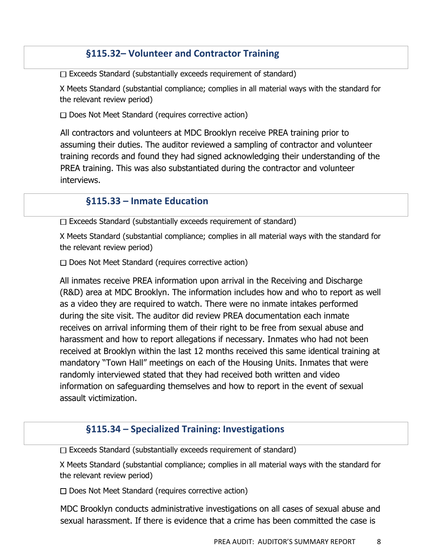## **§115.32– Volunteer and Contractor Training**

 $\Box$  Exceeds Standard (substantially exceeds requirement of standard)

X Meets Standard (substantial compliance; complies in all material ways with the standard for the relevant review period)

 $\Box$  Does Not Meet Standard (requires corrective action)

All contractors and volunteers at MDC Brooklyn receive PREA training prior to assuming their duties. The auditor reviewed a sampling of contractor and volunteer training records and found they had signed acknowledging their understanding of the PREA training. This was also substantiated during the contractor and volunteer interviews.

## **§115.33 – Inmate Education**

 $\Box$  Exceeds Standard (substantially exceeds requirement of standard)

X Meets Standard (substantial compliance; complies in all material ways with the standard for the relevant review period)

 $\Box$  Does Not Meet Standard (requires corrective action)

All inmates receive PREA information upon arrival in the Receiving and Discharge (R&D) area at MDC Brooklyn. The information includes how and who to report as well as a video they are required to watch. There were no inmate intakes performed during the site visit. The auditor did review PREA documentation each inmate receives on arrival informing them of their right to be free from sexual abuse and harassment and how to report allegations if necessary. Inmates who had not been received at Brooklyn within the last 12 months received this same identical training at mandatory "Town Hall" meetings on each of the Housing Units. Inmates that were randomly interviewed stated that they had received both written and video information on safeguarding themselves and how to report in the event of sexual assault victimization.

# **§115.34 – Specialized Training: Investigations**

 $\Box$  Exceeds Standard (substantially exceeds requirement of standard)

X Meets Standard (substantial compliance; complies in all material ways with the standard for the relevant review period)

 $\Box$  Does Not Meet Standard (requires corrective action)

MDC Brooklyn conducts administrative investigations on all cases of sexual abuse and sexual harassment. If there is evidence that a crime has been committed the case is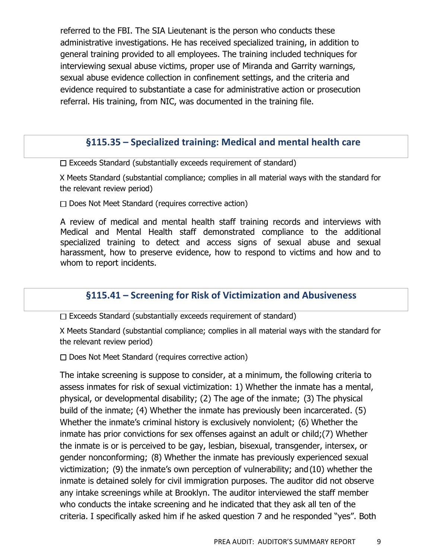referred to the FBI. The SIA Lieutenant is the person who conducts these administrative investigations. He has received specialized training, in addition to general training provided to all employees. The training included techniques for interviewing sexual abuse victims, proper use of Miranda and Garrity warnings, sexual abuse evidence collection in confinement settings, and the criteria and evidence required to substantiate a case for administrative action or prosecution referral. His training, from NIC, was documented in the training file.

#### **§115.35 – Specialized training: Medical and mental health care**

 $\Box$  Exceeds Standard (substantially exceeds requirement of standard)

X Meets Standard (substantial compliance; complies in all material ways with the standard for the relevant review period)

 $\Box$  Does Not Meet Standard (requires corrective action)

A review of medical and mental health staff training records and interviews with Medical and Mental Health staff demonstrated compliance to the additional specialized training to detect and access signs of sexual abuse and sexual harassment, how to preserve evidence, how to respond to victims and how and to whom to report incidents.

### **§115.41 – Screening for Risk of Victimization and Abusiveness**

 $\Box$  Exceeds Standard (substantially exceeds requirement of standard)

X Meets Standard (substantial compliance; complies in all material ways with the standard for the relevant review period)

 $\Box$  Does Not Meet Standard (requires corrective action)

The intake screening is suppose to consider, at a minimum, the following criteria to assess inmates for risk of sexual victimization: 1) Whether the inmate has a mental, physical, or developmental disability; (2) The age of the inmate; (3) The physical build of the inmate; (4) Whether the inmate has previously been incarcerated. (5) Whether the inmate's criminal history is exclusively nonviolent; (6) Whether the inmate has prior convictions for sex offenses against an adult or child;(7) Whether the inmate is or is perceived to be gay, lesbian, bisexual, transgender, intersex, or gender nonconforming; (8) Whether the inmate has previously experienced sexual victimization; (9) the inmate's own perception of vulnerability; and (10) whether the inmate is detained solely for civil immigration purposes. The auditor did not observe any intake screenings while at Brooklyn. The auditor interviewed the staff member who conducts the intake screening and he indicated that they ask all ten of the criteria. I specifically asked him if he asked question 7 and he responded "yes". Both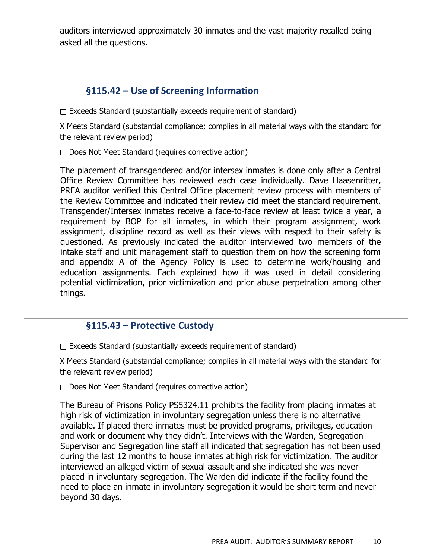auditors interviewed approximately 30 inmates and the vast majority recalled being asked all the questions.

## **§115.42 – Use of Screening Information**

 $\Box$  Exceeds Standard (substantially exceeds requirement of standard)

X Meets Standard (substantial compliance; complies in all material ways with the standard for the relevant review period)

 $\Box$  Does Not Meet Standard (requires corrective action)

The placement of transgendered and/or intersex inmates is done only after a Central Office Review Committee has reviewed each case individually. Dave Haasenritter, PREA auditor verified this Central Office placement review process with members of the Review Committee and indicated their review did meet the standard requirement. Transgender/Intersex inmates receive a face-to-face review at least twice a year, a requirement by BOP for all inmates, in which their program assignment, work assignment, discipline record as well as their views with respect to their safety is questioned. As previously indicated the auditor interviewed two members of the intake staff and unit management staff to question them on how the screening form and appendix A of the Agency Policy is used to determine work/housing and education assignments. Each explained how it was used in detail considering potential victimization, prior victimization and prior abuse perpetration among other things.

### **§115.43 – Protective Custody**

 $\Box$  Exceeds Standard (substantially exceeds requirement of standard)

X Meets Standard (substantial compliance; complies in all material ways with the standard for the relevant review period)

 $\Box$  Does Not Meet Standard (requires corrective action)

The Bureau of Prisons Policy PS5324.11 prohibits the facility from placing inmates at high risk of victimization in involuntary segregation unless there is no alternative available. If placed there inmates must be provided programs, privileges, education and work or document why they didn't. Interviews with the Warden, Segregation Supervisor and Segregation line staff all indicated that segregation has not been used during the last 12 months to house inmates at high risk for victimization. The auditor interviewed an alleged victim of sexual assault and she indicated she was never placed in involuntary segregation. The Warden did indicate if the facility found the need to place an inmate in involuntary segregation it would be short term and never beyond 30 days.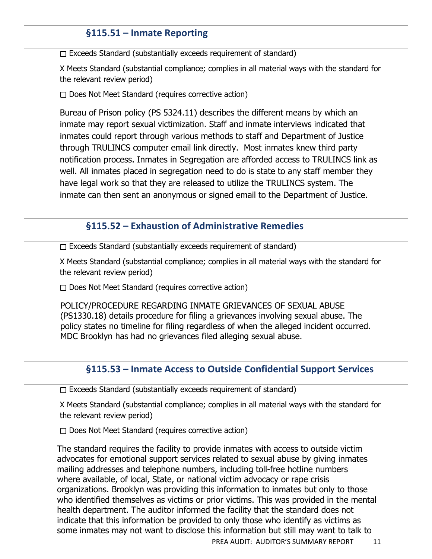# **§115.51 – Inmate Reporting**

 $\Box$  Exceeds Standard (substantially exceeds requirement of standard)

X Meets Standard (substantial compliance; complies in all material ways with the standard for the relevant review period)

 $\Box$  Does Not Meet Standard (requires corrective action)

Bureau of Prison policy (PS 5324.11) describes the different means by which an inmate may report sexual victimization. Staff and inmate interviews indicated that inmates could report through various methods to staff and Department of Justice through TRULINCS computer email link directly. Most inmates knew third party notification process. Inmates in Segregation are afforded access to TRULINCS link as well. All inmates placed in segregation need to do is state to any staff member they have legal work so that they are released to utilize the TRULINCS system. The inmate can then sent an anonymous or signed email to the Department of Justice.

## **§115.52 – Exhaustion of Administrative Remedies**

 $\Box$  Exceeds Standard (substantially exceeds requirement of standard)

X Meets Standard (substantial compliance; complies in all material ways with the standard for the relevant review period)

 $\Box$  Does Not Meet Standard (requires corrective action)

POLICY/PROCEDURE REGARDING INMATE GRIEVANCES OF SEXUAL ABUSE (PS1330.18) details procedure for filing a grievances involving sexual abuse. The policy states no timeline for filing regardless of when the alleged incident occurred. MDC Brooklyn has had no grievances filed alleging sexual abuse.

# **§115.53 – Inmate Access to Outside Confidential Support Services**

 $\Box$  Exceeds Standard (substantially exceeds requirement of standard)

X Meets Standard (substantial compliance; complies in all material ways with the standard for the relevant review period)

 $\Box$  Does Not Meet Standard (requires corrective action)

The standard requires the facility to provide inmates with access to outside victim advocates for emotional support services related to sexual abuse by giving inmates mailing addresses and telephone numbers, including toll-free hotline numbers where available, of local, State, or national victim advocacy or rape crisis organizations. Brooklyn was providing this information to inmates but only to those who identified themselves as victims or prior victims. This was provided in the mental health department. The auditor informed the facility that the standard does not indicate that this information be provided to only those who identify as victims as some inmates may not want to disclose this information but still may want to talk to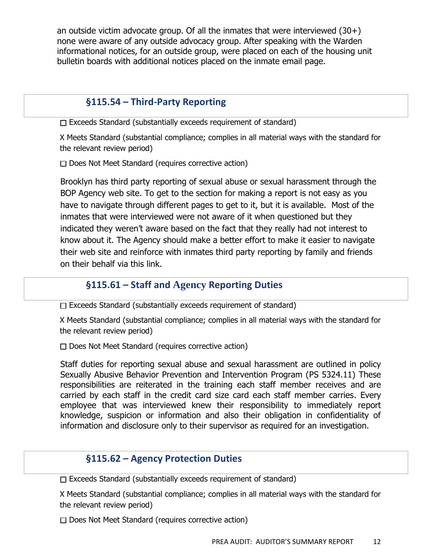an outside victim advocate group. Of all the inmates that were interviewed  $(30+)$ none were aware of any outside advocacy group. After speaking with the Warden informational notices, for an outside group, were placed on each of the housing unit bulletin boards with additional notices placed on the inmate email page.

## **§115.54 – Third-Party Reporting**

 $\Box$  Exceeds Standard (substantially exceeds requirement of standard)

X Meets Standard (substantial compliance; complies in all material ways with the standard for the relevant review period)

 $\Box$  Does Not Meet Standard (requires corrective action)

Brooklyn has third party reporting of sexual abuse or sexual harassment through the BOP Agency web site. To get to the section for making a report is not easy as you have to navigate through different pages to get to it, but it is available. Most of the inmates that were interviewed were not aware of it when questioned but they indicated they weren't aware based on the fact that they really had not interest to know about it. The Agency should make a better effort to make it easier to navigate their web site and reinforce with inmates third party reporting by family and friends on their behalf via this link.

## **§115.61 – Staff and Agency Reporting Duties**

 $\Box$  Exceeds Standard (substantially exceeds requirement of standard)

X Meets Standard (substantial compliance; complies in all material ways with the standard for the relevant review period)

 $\Box$  Does Not Meet Standard (requires corrective action)

Staff duties for reporting sexual abuse and sexual harassment are outlined in policy Sexually Abusive Behavior Prevention and Intervention Program (PS 5324.11) These responsibilities are reiterated in the training each staff member receives and are carried by each staff in the credit card size card each staff member carries. Every employee that was interviewed knew their responsibility to immediately report knowledge, suspicion or information and also their obligation in confidentiality of information and disclosure only to their supervisor as required for an investigation.

### **§115.62 – Agency Protection Duties**

 $\Box$  Exceeds Standard (substantially exceeds requirement of standard)

X Meets Standard (substantial compliance; complies in all material ways with the standard for the relevant review period)

D Does Not Meet Standard (requires corrective action)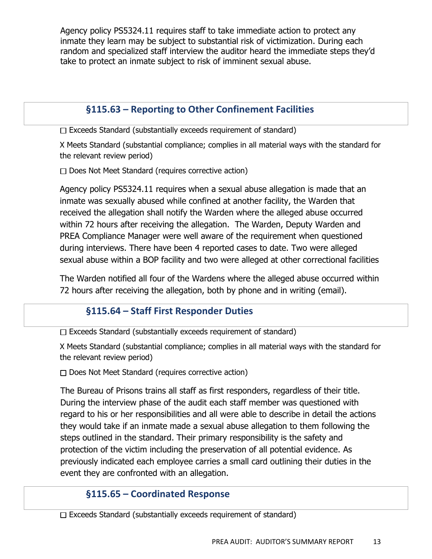Agency policy PS5324.11 requires staff to take immediate action to protect any inmate they learn may be subject to substantial risk of victimization. During each random and specialized staff interview the auditor heard the immediate steps they'd take to protect an inmate subject to risk of imminent sexual abuse.

# **§115.63 – Reporting to Other Confinement Facilities**

 $\Box$  Exceeds Standard (substantially exceeds requirement of standard)

X Meets Standard (substantial compliance; complies in all material ways with the standard for the relevant review period)

 $\Box$  Does Not Meet Standard (requires corrective action)

Agency policy PS5324.11 requires when a sexual abuse allegation is made that an inmate was sexually abused while confined at another facility, the Warden that received the allegation shall notify the Warden where the alleged abuse occurred within 72 hours after receiving the allegation. The Warden, Deputy Warden and PREA Compliance Manager were well aware of the requirement when questioned during interviews. There have been 4 reported cases to date. Two were alleged sexual abuse within a BOP facility and two were alleged at other correctional facilities

The Warden notified all four of the Wardens where the alleged abuse occurred within 72 hours after receiving the allegation, both by phone and in writing (email).

# **§115.64 – Staff First Responder Duties**

 $\Box$  Exceeds Standard (substantially exceeds requirement of standard)

X Meets Standard (substantial compliance; complies in all material ways with the standard for the relevant review period)

 $\Box$  Does Not Meet Standard (requires corrective action)

The Bureau of Prisons trains all staff as first responders, regardless of their title. During the interview phase of the audit each staff member was questioned with regard to his or her responsibilities and all were able to describe in detail the actions they would take if an inmate made a sexual abuse allegation to them following the steps outlined in the standard. Their primary responsibility is the safety and protection of the victim including the preservation of all potential evidence. As previously indicated each employee carries a small card outlining their duties in the event they are confronted with an allegation.

# **§115.65 – Coordinated Response**

 $\Box$  Exceeds Standard (substantially exceeds requirement of standard)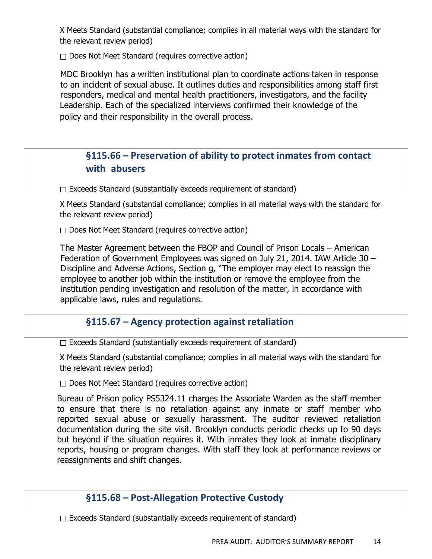X Meets Standard (substantial compliance; complies in all material ways with the standard for the relevant review period)

 $\Box$  Does Not Meet Standard (requires corrective action)

MDC Brooklyn has a written institutional plan to coordinate actions taken in response to an incident of sexual abuse. It outlines duties and responsibilities among staff first responders, medical and mental health practitioners, investigators, and the facility Leadership. Each of the specialized interviews confirmed their knowledge of the policy and their responsibility in the overall process.

# **§115.66 – Preservation of ability to protect inmates from contact with abusers**

 $\Box$  Exceeds Standard (substantially exceeds requirement of standard)

X Meets Standard (substantial compliance; complies in all material ways with the standard for the relevant review period)

 $\Box$  Does Not Meet Standard (requires corrective action)

The Master Agreement between the FBOP and Council of Prison Locals – American Federation of Government Employees was signed on July 21, 2014. IAW Article 30 – Discipline and Adverse Actions, Section g, "The employer may elect to reassign the employee to another job within the institution or remove the employee from the institution pending investigation and resolution of the matter, in accordance with applicable laws, rules and regulations.

### **§115.67 – Agency protection against retaliation**

 $\Box$  Exceeds Standard (substantially exceeds requirement of standard)

X Meets Standard (substantial compliance; complies in all material ways with the standard for the relevant review period)

 $\Box$  Does Not Meet Standard (requires corrective action)

Bureau of Prison policy PS5324.11 charges the Associate Warden as the staff member to ensure that there is no retaliation against any inmate or staff member who reported sexual abuse or sexually harassment. The auditor reviewed retaliation documentation during the site visit. Brooklyn conducts periodic checks up to 90 days but beyond if the situation requires it. With inmates they look at inmate disciplinary reports, housing or program changes. With staff they look at performance reviews or reassignments and shift changes.

# **§115.68 – Post-Allegation Protective Custody**

 $\Box$  Exceeds Standard (substantially exceeds requirement of standard)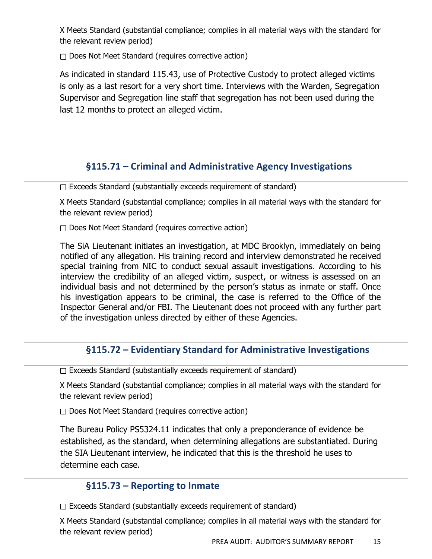X Meets Standard (substantial compliance; complies in all material ways with the standard for the relevant review period)

 $\Box$  Does Not Meet Standard (requires corrective action)

As indicated in standard 115.43, use of Protective Custody to protect alleged victims is only as a last resort for a very short time. Interviews with the Warden, Segregation Supervisor and Segregation line staff that segregation has not been used during the last 12 months to protect an alleged victim.

# **§115.71 – Criminal and Administrative Agency Investigations**

 $\Box$  Exceeds Standard (substantially exceeds requirement of standard)

X Meets Standard (substantial compliance; complies in all material ways with the standard for the relevant review period)

 $\Box$  Does Not Meet Standard (requires corrective action)

The SiA Lieutenant initiates an investigation, at MDC Brooklyn, immediately on being notified of any allegation. His training record and interview demonstrated he received special training from NIC to conduct sexual assault investigations. According to his interview the credibility of an alleged victim, suspect, or witness is assessed on an individual basis and not determined by the person's status as inmate or staff. Once his investigation appears to be criminal, the case is referred to the Office of the Inspector General and/or FBI. The Lieutenant does not proceed with any further part of the investigation unless directed by either of these Agencies.

### **§115.72 – Evidentiary Standard for Administrative Investigations**

 $\Box$  Exceeds Standard (substantially exceeds requirement of standard)

X Meets Standard (substantial compliance; complies in all material ways with the standard for the relevant review period)

 $\Box$  Does Not Meet Standard (requires corrective action)

The Bureau Policy PS5324.11 indicates that only a preponderance of evidence be established, as the standard, when determining allegations are substantiated. During the SIA Lieutenant interview, he indicated that this is the threshold he uses to determine each case.

# **§115.73 – Reporting to Inmate**

 $\Box$  Exceeds Standard (substantially exceeds requirement of standard)

X Meets Standard (substantial compliance; complies in all material ways with the standard for the relevant review period)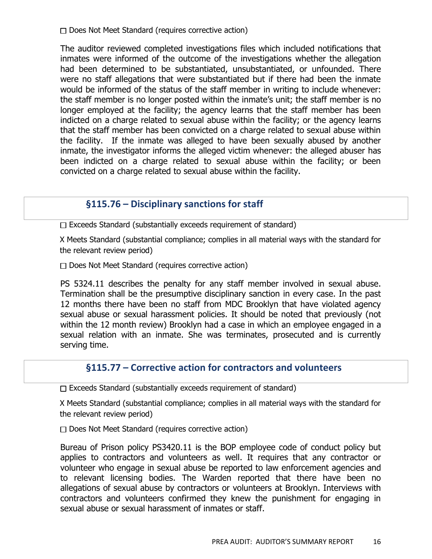$\Box$  Does Not Meet Standard (requires corrective action)

The auditor reviewed completed investigations files which included notifications that inmates were informed of the outcome of the investigations whether the allegation had been determined to be substantiated, unsubstantiated, or unfounded. There were no staff allegations that were substantiated but if there had been the inmate would be informed of the status of the staff member in writing to include whenever: the staff member is no longer posted within the inmate's unit; the staff member is no longer employed at the facility; the agency learns that the staff member has been indicted on a charge related to sexual abuse within the facility; or the agency learns that the staff member has been convicted on a charge related to sexual abuse within the facility. If the inmate was alleged to have been sexually abused by another inmate, the investigator informs the alleged victim whenever: the alleged abuser has been indicted on a charge related to sexual abuse within the facility; or been convicted on a charge related to sexual abuse within the facility.

### **§115.76 – Disciplinary sanctions for staff**

 $\Box$  Exceeds Standard (substantially exceeds requirement of standard)

X Meets Standard (substantial compliance; complies in all material ways with the standard for the relevant review period)

 $\Box$  Does Not Meet Standard (requires corrective action)

PS 5324.11 describes the penalty for any staff member involved in sexual abuse. Termination shall be the presumptive disciplinary sanction in every case. In the past 12 months there have been no staff from MDC Brooklyn that have violated agency sexual abuse or sexual harassment policies. It should be noted that previously (not within the 12 month review) Brooklyn had a case in which an employee engaged in a sexual relation with an inmate. She was terminates, prosecuted and is currently serving time.

### **§115.77 – Corrective action for contractors and volunteers**

 $\Box$  Exceeds Standard (substantially exceeds requirement of standard)

X Meets Standard (substantial compliance; complies in all material ways with the standard for the relevant review period)

 $\Box$  Does Not Meet Standard (requires corrective action)

Bureau of Prison policy PS3420.11 is the BOP employee code of conduct policy but applies to contractors and volunteers as well. It requires that any contractor or volunteer who engage in sexual abuse be reported to law enforcement agencies and to relevant licensing bodies. The Warden reported that there have been no allegations of sexual abuse by contractors or volunteers at Brooklyn. Interviews with contractors and volunteers confirmed they knew the punishment for engaging in sexual abuse or sexual harassment of inmates or staff.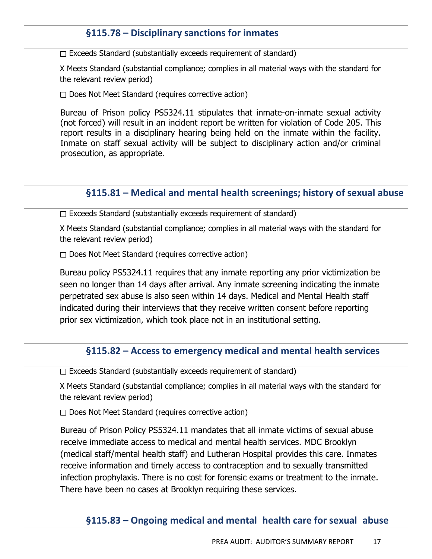## **§115.78 – Disciplinary sanctions for inmates**

 $\Box$  Exceeds Standard (substantially exceeds requirement of standard)

X Meets Standard (substantial compliance; complies in all material ways with the standard for the relevant review period)

 $\Box$  Does Not Meet Standard (requires corrective action)

Bureau of Prison policy PS5324.11 stipulates that inmate-on-inmate sexual activity (not forced) will result in an incident report be written for violation of Code 205. This report results in a disciplinary hearing being held on the inmate within the facility. Inmate on staff sexual activity will be subject to disciplinary action and/or criminal prosecution, as appropriate.

#### **§115.81 – Medical and mental health screenings; history of sexual abuse**

 $\Box$  Exceeds Standard (substantially exceeds requirement of standard)

X Meets Standard (substantial compliance; complies in all material ways with the standard for the relevant review period)

 $\Box$  Does Not Meet Standard (requires corrective action)

Bureau policy PS5324.11 requires that any inmate reporting any prior victimization be seen no longer than 14 days after arrival. Any inmate screening indicating the inmate perpetrated sex abuse is also seen within 14 days. Medical and Mental Health staff indicated during their interviews that they receive written consent before reporting prior sex victimization, which took place not in an institutional setting.

#### **§115.82 – Access to emergency medical and mental health services**

 $\Box$  Exceeds Standard (substantially exceeds requirement of standard)

X Meets Standard (substantial compliance; complies in all material ways with the standard for the relevant review period)

 $\Box$  Does Not Meet Standard (requires corrective action)

Bureau of Prison Policy PS5324.11 mandates that all inmate victims of sexual abuse receive immediate access to medical and mental health services. MDC Brooklyn (medical staff/mental health staff) and Lutheran Hospital provides this care. Inmates receive information and timely access to contraception and to sexually transmitted infection prophylaxis. There is no cost for forensic exams or treatment to the inmate. There have been no cases at Brooklyn requiring these services.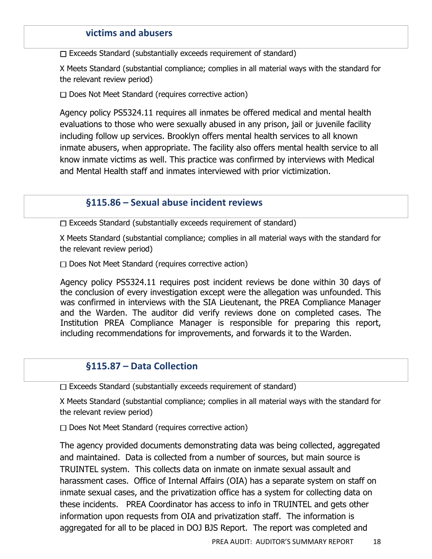#### **victims and abusers**

 $\Box$  Exceeds Standard (substantially exceeds requirement of standard)

X Meets Standard (substantial compliance; complies in all material ways with the standard for the relevant review period)

 $\Box$  Does Not Meet Standard (requires corrective action)

Agency policy PS5324.11 requires all inmates be offered medical and mental health evaluations to those who were sexually abused in any prison, jail or juvenile facility including follow up services. Brooklyn offers mental health services to all known inmate abusers, when appropriate. The facility also offers mental health service to all know inmate victims as well. This practice was confirmed by interviews with Medical and Mental Health staff and inmates interviewed with prior victimization.

#### **§115.86 – Sexual abuse incident reviews**

 $\Box$  Exceeds Standard (substantially exceeds requirement of standard)

X Meets Standard (substantial compliance; complies in all material ways with the standard for the relevant review period)

 $\Box$  Does Not Meet Standard (requires corrective action)

Agency policy PS5324.11 requires post incident reviews be done within 30 days of the conclusion of every investigation except were the allegation was unfounded. This was confirmed in interviews with the SIA Lieutenant, the PREA Compliance Manager and the Warden. The auditor did verify reviews done on completed cases. The Institution PREA Compliance Manager is responsible for preparing this report, including recommendations for improvements, and forwards it to the Warden.

#### **§115.87 – Data Collection**

 $\Box$  Exceeds Standard (substantially exceeds requirement of standard)

X Meets Standard (substantial compliance; complies in all material ways with the standard for the relevant review period)

 $\Box$  Does Not Meet Standard (requires corrective action)

The agency provided documents demonstrating data was being collected, aggregated and maintained. Data is collected from a number of sources, but main source is TRUINTEL system. This collects data on inmate on inmate sexual assault and harassment cases. Office of Internal Affairs (OIA) has a separate system on staff on inmate sexual cases, and the privatization office has a system for collecting data on these incidents. PREA Coordinator has access to info in TRUINTEL and gets other information upon requests from OIA and privatization staff. The information is aggregated for all to be placed in DOJ BJS Report. The report was completed and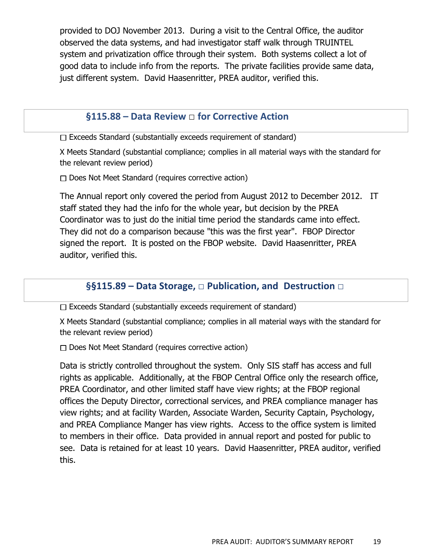provided to DOJ November 2013. During a visit to the Central Office, the auditor observed the data systems, and had investigator staff walk through TRUINTEL system and privatization office through their system. Both systems collect a lot of good data to include info from the reports. The private facilities provide same data, just different system. David Haasenritter, PREA auditor, verified this.

#### **§115.88 – Data Review** □ **for Corrective Action**

 $\Box$  Exceeds Standard (substantially exceeds requirement of standard)

X Meets Standard (substantial compliance; complies in all material ways with the standard for the relevant review period)

 $\Box$  Does Not Meet Standard (requires corrective action)

The Annual report only covered the period from August 2012 to December 2012. IT staff stated they had the info for the whole year, but decision by the PREA Coordinator was to just do the initial time period the standards came into effect. They did not do a comparison because "this was the first year". FBOP Director signed the report. It is posted on the FBOP website. David Haasenritter, PREA auditor, verified this.

### **§§115.89 – Data Storage,** □ **Publication, and Destruction** □

 $\Box$  Exceeds Standard (substantially exceeds requirement of standard)

X Meets Standard (substantial compliance; complies in all material ways with the standard for the relevant review period)

 $\Box$  Does Not Meet Standard (requires corrective action)

Data is strictly controlled throughout the system. Only SIS staff has access and full rights as applicable. Additionally, at the FBOP Central Office only the research office, PREA Coordinator, and other limited staff have view rights; at the FBOP regional offices the Deputy Director, correctional services, and PREA compliance manager has view rights; and at facility Warden, Associate Warden, Security Captain, Psychology, and PREA Compliance Manger has view rights. Access to the office system is limited to members in their office. Data provided in annual report and posted for public to see. Data is retained for at least 10 years. David Haasenritter, PREA auditor, verified this.